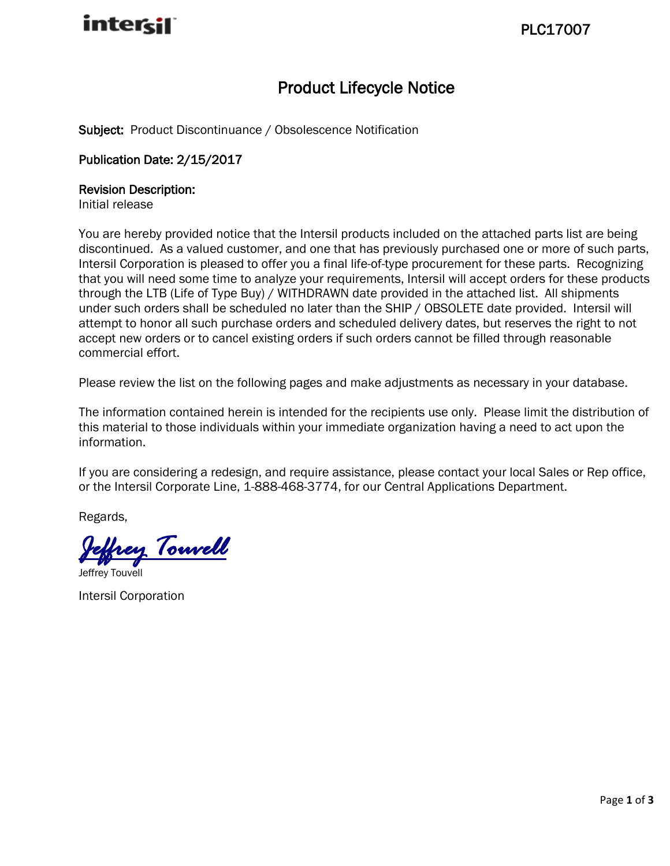

### Product Lifecycle Notice

Subject: Product Discontinuance / Obsolescence Notification

### Publication Date: 2/15/2017

#### Revision Description:

Initial release

You are hereby provided notice that the Intersil products included on the attached parts list are being discontinued. As a valued customer, and one that has previously purchased one or more of such parts, Intersil Corporation is pleased to offer you a final life-of-type procurement for these parts. Recognizing that you will need some time to analyze your requirements, Intersil will accept orders for these products through the LTB (Life of Type Buy) / WITHDRAWN date provided in the attached list. All shipments under such orders shall be scheduled no later than the SHIP / OBSOLETE date provided. Intersil will attempt to honor all such purchase orders and scheduled delivery dates, but reserves the right to not accept new orders or to cancel existing orders if such orders cannot be filled through reasonable commercial effort.

Please review the list on the following pages and make adjustments as necessary in your database.

The information contained herein is intended for the recipients use only. Please limit the distribution of this material to those individuals within your immediate organization having a need to act upon the information.

If you are considering a redesign, and require assistance, please contact your local Sales or Rep office, or the Intersil Corporate Line, 1-888-468-3774, for our Central Applications Department.

Regards,

*Jeffrey Touvell* 

Jeffrey Touvell

Intersil Corporation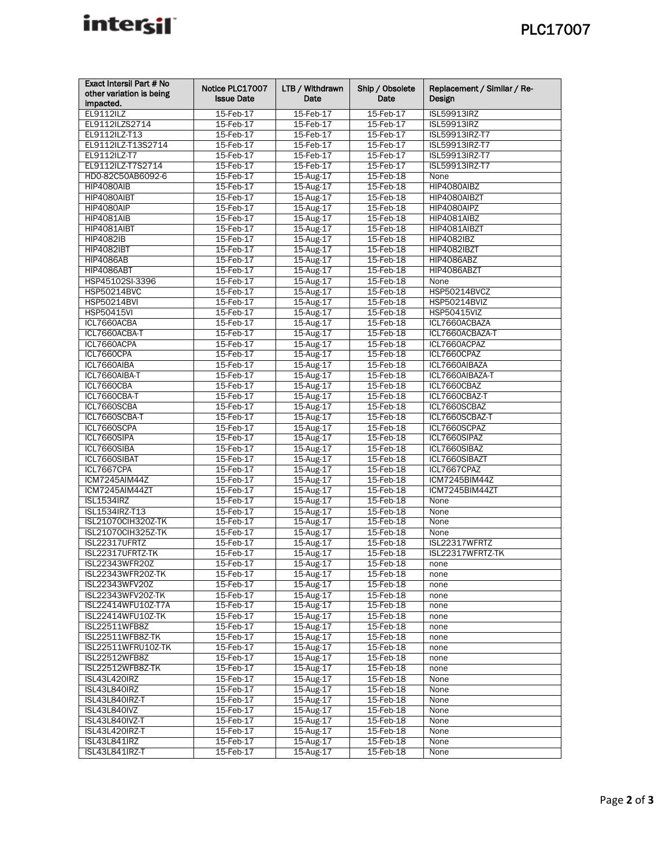# inter<sub>sil</sub>

| Exact Intersil Part # No  | Notice PLC17007        | LTB / Withdrawn        | Ship / Obsolete        | Replacement / Similar / Re-         |
|---------------------------|------------------------|------------------------|------------------------|-------------------------------------|
| other variation is being  | <b>Issue Date</b>      | Date                   | Date                   | Design                              |
| impacted.                 |                        |                        |                        |                                     |
| <b>EL9112ILZ</b>          | 15-Feb-17              | 15-Feb-17              | 15-Feb-17              | <b>ISL59913IRZ</b>                  |
| EL9112ILZS2714            | 15-Feb-17              | 15-Feb-17              | 15-Feb-17              | <b>ISL59913IRZ</b>                  |
| EL9112ILZ-T13             | 15-Feb-17              | 15-Feb-17              | 15-Feb-17              | ISL59913IRZ-T7                      |
| EL9112ILZ-T13S2714        | 15-Feb-17              | 15-Feb-17              | 15-Feb-17              | ISL59913IRZ-T7                      |
| EL9112ILZ-T7              | 15-Feb-17              | 15-Feb-17              | 15-Feb-17              | ISL59913IRZ-T7                      |
| EL9112ILZ-T7S2714         | 15-Feb-17              | 15-Feb-17              | 15-Feb-17              | ISL59913IRZ-T7                      |
| HD0-82C50AB6092-6         | 15-Feb-17              | 15-Aug-17              | 15-Feb-18              | None                                |
| <b>HIP4080AIB</b>         | 15-Feb-17              | 15-Aug-17              | 15-Feb-18              | HIP4080AIBZ                         |
| HIP4080AIBT               | 15-Feb-17              | 15-Aug-17              | 15-Feb-18              | HIP4080AIBZT                        |
| HIP4080AIP                | 15-Feb-17              | 15-Aug-17              | 15-Feb-18              | HIP4080AIPZ                         |
| <b>HIP4081AIB</b>         | 15-Feb-17              | 15-Aug-17              | 15-Feb-18              | HIP4081AIBZ                         |
| HIP4081AIBT               | 15-Feb-17              | 15-Aug-17              | 15-Feb-18              | HIP4081AIBZT                        |
| <b>HIP4082IB</b>          | 15-Feb-17              | 15-Aug-17              | 15-Feb-18              | HIP4082IBZ                          |
| <b>HIP4082IBT</b>         | 15-Feb-17              | 15-Aug-17              | 15-Feb-18              | <b>HIP4082IBZT</b>                  |
| <b>HIP4086AB</b>          | 15-Feb-17              | 15-Aug-17              | 15-Feb-18              | HIP4086ABZ                          |
| <b>HIP4086ABT</b>         | 15-Feb-17              | 15-Aug-17              | 15-Feb-18              | HIP4086ABZT                         |
| HSP45102SI-3396           | 15-Feb-17              | 15-Aug-17              | 15-Feb-18              | None                                |
| <b>HSP50214BVC</b>        | 15-Feb-17              | 15-Aug-17              | 15-Feb-18              | <b>HSP50214BVCZ</b>                 |
| <b>HSP50214BVI</b>        | 15-Feb-17              | 15-Aug-17              | 15-Feb-18              | HSP50214BVIZ                        |
| <b>HSP50415VI</b>         | 15-Feb-17              | 15-Aug-17              | 15-Feb-18              | <b>HSP50415VIZ</b><br>ICL7660ACBAZA |
| ICL7660ACBA               | 15-Feb-17              | 15-Aug-17<br>15-Aug-17 | 15-Feb-18              |                                     |
| ICL7660ACBA-T             | 15-Feb-17              | $15$ -Aug- $17$        | 15-Feb-18              | ICL7660ACBAZA-T                     |
| ICL7660ACPA<br>ICL7660CPA | 15-Feb-17<br>15-Feb-17 |                        | 15-Feb-18<br>15-Feb-18 | ICL7660ACPAZ<br>ICL7660CPAZ         |
| ICL7660AIBA               | 15-Feb-17              | 15-Aug-17<br>15-Aug-17 | 15-Feb-18              | ICL7660AIBAZA                       |
| ICL7660AIBA-T             | 15-Feb-17              | 15-Aug-17              | 15-Feb-18              | ICL7660AIBAZA-T                     |
| ICL7660CBA                | 15-Feb-17              | 15-Aug-17              | 15-Feb-18              | ICL7660CBAZ                         |
| ICL7660CBA-T              | 15-Feb-17              | 15-Aug-17              | 15-Feb-18              | ICL7660CBAZ-T                       |
| ICL7660SCBA               | 15-Feb-17              | 15-Aug-17              | $15$ -Feb-18           | ICL7660SCBAZ                        |
| ICL7660SCBA-T             | 15-Feb-17              | 15-Aug-17              | 15-Feb-18              | ICL7660SCBAZ-T                      |
| ICL7660SCPA               | 15-Feb-17              | 15-Aug-17              | 15-Feb-18              | ICL7660SCPAZ                        |
| ICL7660SIPA               | 15-Feb-17              | 15-Aug-17              | 15-Feb-18              | ICL7660SIPAZ                        |
| ICL7660SIBA               | 15-Feb-17              | 15-Aug-17              | 15-Feb-18              | ICL7660SIBAZ                        |
| ICL7660SIBAT              | 15-Feb-17              | 15-Aug-17              | 15-Feb-18              | ICL7660SIBAZT                       |
| ICL7667CPA                | 15-Feb-17              | 15-Aug-17              | 15-Feb-18              | ICL7667CPAZ                         |
| ICM7245AIM44Z             | 15-Feb-17              | 15-Aug-17              | 15-Feb-18              | ICM7245BIM44Z                       |
| ICM7245AIM44ZT            | 15-Feb-17              | 15-Aug-17              | 15-Feb-18              | ICM7245BIM44ZT                      |
| <b>ISL1534IRZ</b>         | 15-Feb-17              | 15-Aug-17              | 15-Feb-18              | None                                |
| ISL1534IRZ-T13            | 15-Feb-17              | 15-Aug-17              | 15-Feb-18              | None                                |
| ISL21070CIH320Z-TK        | 15-Feb-17              | 15-Aug-17              | 15-Feb-18              | None                                |
| <b>ISL21070CIH325Z-TK</b> | 15-Feb-17              | 15-Aug-17              | 15-Feb-18              | None                                |
| ISL22317UFRTZ             | 15-Feb-17              | 15-Aug-17              | 15-Feb-18              | ISL22317WFRTZ                       |
| ISL22317UFRTZ-TK          | 15-Feb-17              | 15-Aug-17              | 15-Feb-18              | ISL22317WFRTZ-TK                    |
| ISL22343WFR20Z            | 15-Feb-17              | 15-Aug-17              | 15-Feb-18              | none                                |
| ISL22343WFR20Z-TK         | $15$ -Feb- $17$        | 15-Aug-17              | 15-Feb-18              | none                                |
| ISL22343WFV20Z            | 15-Feb-17              | 15-Aug-17              | 15-Feb-18              | none                                |
| ISL22343WFV20Z-TK         | 15-Feb-17              | 15-Aug-17              | 15-Feb-18              | none                                |
| ISL22414WFU10Z-T7A        | 15-Feb-17              | 15-Aug-17              | 15-Feb-18              | none                                |
| ISL22414WFU10Z-TK         | 15-Feb-17              | 15-Aug-17              | 15-Feb-18              | none                                |
| ISL22511WFB8Z             | 15-Feb-17              | 15-Aug-17              | 15-Feb-18              | none                                |
| ISL22511WFB8Z-TK          | 15-Feb-17              | 15-Aug-17              | 15-Feb-18              | none                                |
| ISL22511WFRU10Z-TK        | 15-Feb-17              | 15-Aug-17              | 15-Feb-18              | none                                |
| ISL22512WFB8Z             | 15-Feb-17              | 15-Aug-17              | 15-Feb-18              | none                                |
| ISL22512WFB8Z-TK          | 15-Feb-17              | 15-Aug-17              | 15-Feb-18              | none                                |
| ISL43L420IRZ              | 15-Feb-17              | 15-Aug-17              | 15-Feb-18              | None                                |
| ISL43L840IRZ              | 15-Feb-17              | 15-Aug-17              | 15-Feb-18              | None                                |
| ISL43L840IRZ-T            | 15-Feb-17              | 15-Aug-17              | 15-Feb-18              | None                                |
| ISL43L840IVZ              | 15-Feb-17              | 15-Aug-17              | 15-Feb-18              | None                                |
| ISL43L840IVZ-T            | 15-Feb-17              | 15-Aug-17              | 15-Feb-18              | None                                |
| ISL43L420IRZ-T            | 15-Feb-17              | 15-Aug-17              | 15-Feb-18              | None                                |
| ISL43L841IRZ              | 15-Feb-17              | 15-Aug-17              | 15-Feb-18              | None                                |
| <b>ISL43L841IRZ-T</b>     | 15-Feb-17              | 15-Aug-17              | 15-Feb-18              | None                                |